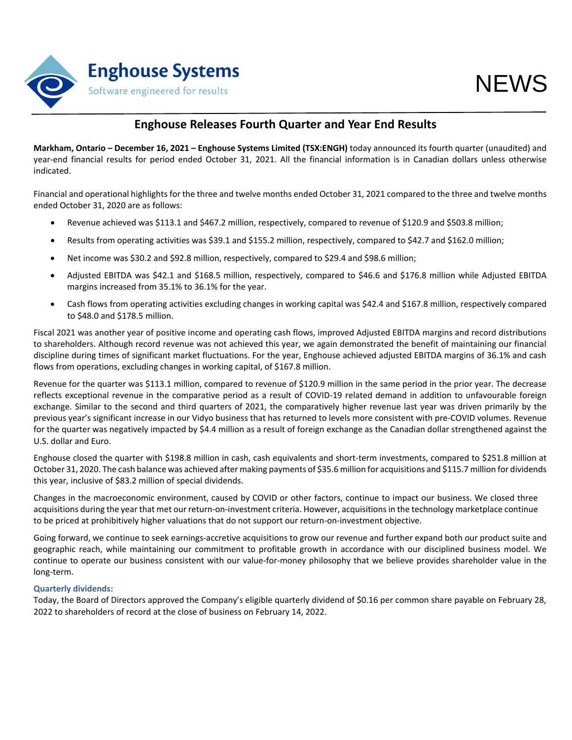

## **Enghouse Releases Fourth Quarter and Year End Results**

**Markham, Ontario – December 16, 2021 – Enghouse Systems Limited (TSX:ENGH)** today announced its fourth quarter (unaudited) and year-end financial results for period ended October 31, 2021. All the financial information is in Canadian dollars unless otherwise indicated.

Financial and operational highlights for the three and twelve months ended October 31, 2021 compared to the three and twelve months ended October 31, 2020 are as follows:

- Revenue achieved was \$113.1 and \$467.2 million, respectively, compared to revenue of \$120.9 and \$503.8 million;
- Results from operating activities was \$39.1 and \$155.2 million, respectively, compared to \$42.7 and \$162.0 million;
- Net income was \$30.2 and \$92.8 million, respectively, compared to \$29.4 and \$98.6 million;
- Adjusted EBITDA was \$42.1 and \$168.5 million, respectively, compared to \$46.6 and \$176.8 million while Adjusted EBITDA margins increased from 35.1% to 36.1% for the year.
- Cash flows from operating activities excluding changes in working capital was \$42.4 and \$167.8 million, respectively compared to \$48.0 and \$178.5 million.

Fiscal 2021 was another year of positive income and operating cash flows, improved Adjusted EBITDA margins and record distributions to shareholders. Although record revenue was not achieved this year, we again demonstrated the benefit of maintaining our financial discipline during times of significant market fluctuations. For the year, Enghouse achieved adjusted EBITDA margins of 36.1% and cash flows from operations, excluding changes in working capital, of \$167.8 million.

Revenue for the quarter was \$113.1 million, compared to revenue of \$120.9 million in the same period in the prior year. The decrease reflects exceptional revenue in the comparative period as a result of COVID-19 related demand in addition to unfavourable foreign exchange. Similar to the second and third quarters of 2021, the comparatively higher revenue last year was driven primarily by the previous year's significant increase in our Vidyo business that has returned to levels more consistent with pre-COVID volumes. Revenue for the quarter was negatively impacted by \$4.4 million as a result of foreign exchange as the Canadian dollar strengthened against the U.S. dollar and Euro.

Enghouse closed the quarter with \$198.8 million in cash, cash equivalents and short-term investments, compared to \$251.8 million at October 31, 2020. The cash balance was achieved after making payments of \$35.6 million for acquisitions and \$115.7 million for dividends this year, inclusive of \$83.2 million of special dividends.

Changes in the macroeconomic environment, caused by COVID or other factors, continue to impact our business. We closed three acquisitions during the year that met our return-on-investment criteria. However, acquisitions in the technology marketplace continue to be priced at prohibitively higher valuations that do not support our return-on-investment objective.

Going forward, we continue to seek earnings-accretive acquisitions to grow our revenue and further expand both our product suite and geographic reach, while maintaining our commitment to profitable growth in accordance with our disciplined business model. We continue to operate our business consistent with our value-for-money philosophy that we believe provides shareholder value in the long-term.

### **Quarterly dividends:**

Today, the Board of Directors approved the Company's eligible quarterly dividend of \$0.16 per common share payable on February 28, 2022 to shareholders of record at the close of business on February 14, 2022.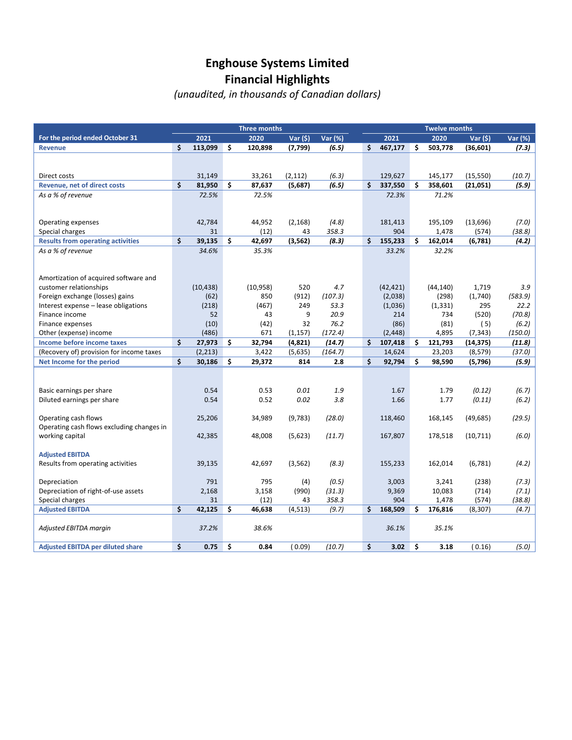# **Enghouse Systems Limited Financial Highlights**

*(unaudited, in thousands of Canadian dollars)*

|                                                                       | <b>Three months</b> |                    |    |               |                |                   | <b>Twelve months</b> |                  |    |                  |                       |                 |  |  |
|-----------------------------------------------------------------------|---------------------|--------------------|----|---------------|----------------|-------------------|----------------------|------------------|----|------------------|-----------------------|-----------------|--|--|
| For the period ended October 31                                       |                     | 2021               |    | 2020          | Var(5)         | Var (%)           |                      | 2021             |    | 2020             | Var(5)                | Var (%)         |  |  |
| <b>Revenue</b>                                                        | Ś.                  | 113,099            | \$ | 120,898       | (7,799)        | (6.5)             | \$                   | 467,177          | \$ | 503,778          | (36, 601)             | (7.3)           |  |  |
|                                                                       |                     |                    |    |               |                |                   |                      |                  |    |                  |                       |                 |  |  |
|                                                                       |                     |                    |    |               |                |                   |                      |                  |    |                  |                       |                 |  |  |
| Direct costs                                                          |                     | 31,149             |    | 33,261        | (2, 112)       | (6.3)             |                      | 129,627          |    | 145,177          | (15, 550)             | (10.7)          |  |  |
| <b>Revenue, net of direct costs</b>                                   | \$                  | 81,950             | \$ | 87,637        | (5,687)        | (6.5)             | \$                   | 337,550          | \$ | 358,601          | (21,051)              | (5.9)           |  |  |
| As a % of revenue                                                     |                     | 72.5%              |    | 72.5%         |                |                   |                      | 72.3%            |    | 71.2%            |                       |                 |  |  |
|                                                                       |                     |                    |    |               |                |                   |                      |                  |    |                  |                       |                 |  |  |
|                                                                       |                     |                    |    |               |                |                   |                      |                  |    |                  |                       |                 |  |  |
| Operating expenses                                                    |                     | 42,784             |    | 44,952        | (2, 168)       | (4.8)             |                      | 181,413          |    | 195,109          | (13, 696)             | (7.0)           |  |  |
| Special charges                                                       |                     | 31                 |    | (12)          | 43             | 358.3             |                      | 904              |    | 1,478            | (574)                 | (38.8)          |  |  |
| <b>Results from operating activities</b>                              | \$                  | 39,135             | \$ | 42,697        | (3, 562)       | (8.3)             | \$                   | 155,233          | \$ | 162,014          | (6, 781)              | (4.2)           |  |  |
| As a % of revenue                                                     |                     | 34.6%              |    | 35.3%         |                |                   |                      | 33.2%            |    | 32.2%            |                       |                 |  |  |
|                                                                       |                     |                    |    |               |                |                   |                      |                  |    |                  |                       |                 |  |  |
|                                                                       |                     |                    |    |               |                |                   |                      |                  |    |                  |                       |                 |  |  |
| Amortization of acquired software and                                 |                     |                    |    |               |                |                   |                      |                  |    |                  |                       |                 |  |  |
| customer relationships                                                |                     | (10, 438)          |    | (10, 958)     | 520            | 4.7               |                      | (42, 421)        |    | (44, 140)        | 1,719                 | 3.9             |  |  |
| Foreign exchange (losses) gains                                       |                     | (62)               |    | 850           | (912)          | (107.3)           |                      | (2,038)          |    | (298)            | (1,740)               | (583.9)         |  |  |
| Interest expense - lease obligations<br>Finance income                |                     | (218)<br>52        |    | (467)<br>43   | 249<br>9       | 53.3<br>20.9      |                      | (1,036)<br>214   |    | (1, 331)         | 295                   | 22.2            |  |  |
|                                                                       |                     |                    |    |               |                | 76.2              |                      |                  |    | 734              | (520)                 | (70.8)          |  |  |
| Finance expenses                                                      |                     | (10)               |    | (42)          | 32             |                   |                      | (86)             |    | (81)             | (5)                   | (6.2)           |  |  |
| Other (expense) income<br>Income before income taxes                  | \$                  | (486)<br>27,973    | \$ | 671<br>32,794 | (1, 157)       | (172.4)<br>(14.7) | \$                   | (2, 448)         | \$ | 4,895<br>121,793 | (7, 343)<br>(14, 375) | (150.0)         |  |  |
|                                                                       |                     |                    |    | 3,422         | (4,821)        | (164.7)           |                      | 107,418          |    |                  |                       | (11.8)          |  |  |
| (Recovery of) provision for income taxes<br>Net Income for the period | \$                  | (2, 213)<br>30,186 | \$ | 29,372        | (5,635)<br>814 | 2.8               | \$                   | 14,624<br>92,794 | \$ | 23,203<br>98,590 | (8, 579)<br>(5,796)   | (37.0)<br>(5.9) |  |  |
|                                                                       |                     |                    |    |               |                |                   |                      |                  |    |                  |                       |                 |  |  |
|                                                                       |                     |                    |    |               |                |                   |                      |                  |    |                  |                       |                 |  |  |
| Basic earnings per share                                              |                     | 0.54               |    | 0.53          | 0.01           | 1.9               |                      | 1.67             |    | 1.79             | (0.12)                | (6.7)           |  |  |
| Diluted earnings per share                                            |                     | 0.54               |    | 0.52          | 0.02           | 3.8               |                      | 1.66             |    | 1.77             | (0.11)                | (6.2)           |  |  |
|                                                                       |                     |                    |    |               |                |                   |                      |                  |    |                  |                       |                 |  |  |
| Operating cash flows                                                  |                     | 25,206             |    | 34,989        | (9,783)        | (28.0)            |                      | 118,460          |    | 168,145          | (49, 685)             | (29.5)          |  |  |
| Operating cash flows excluding changes in                             |                     |                    |    |               |                |                   |                      |                  |    |                  |                       |                 |  |  |
| working capital                                                       |                     | 42,385             |    | 48,008        | (5,623)        | (11.7)            |                      | 167,807          |    | 178,518          | (10, 711)             | (6.0)           |  |  |
|                                                                       |                     |                    |    |               |                |                   |                      |                  |    |                  |                       |                 |  |  |
| <b>Adjusted EBITDA</b>                                                |                     |                    |    |               |                |                   |                      |                  |    |                  |                       |                 |  |  |
| Results from operating activities                                     |                     | 39,135             |    | 42,697        | (3, 562)       | (8.3)             |                      | 155,233          |    | 162,014          | (6, 781)              | (4.2)           |  |  |
|                                                                       |                     |                    |    |               |                |                   |                      |                  |    |                  |                       |                 |  |  |
| Depreciation                                                          |                     | 791                |    | 795           | (4)            | (0.5)             |                      | 3,003            |    | 3,241            | (238)                 | (7.3)           |  |  |
| Depreciation of right-of-use assets                                   |                     | 2,168              |    | 3,158         | (990)          | (31.3)            |                      | 9,369            |    | 10,083           | (714)                 | (7.1)           |  |  |
| Special charges                                                       |                     | 31                 |    | (12)          | 43             | 358.3             |                      | 904              |    | 1,478            | (574)                 | (38.8)          |  |  |
| <b>Adjusted EBITDA</b>                                                | \$                  | 42,125             | \$ | 46,638        | (4, 513)       | (9.7)             | \$                   | 168,509          | \$ | 176,816          | (8, 307)              | (4.7)           |  |  |
|                                                                       |                     |                    |    |               |                |                   |                      |                  |    |                  |                       |                 |  |  |
| Adjusted EBITDA margin                                                |                     | 37.2%              |    | 38.6%         |                |                   |                      | 36.1%            |    | 35.1%            |                       |                 |  |  |
|                                                                       |                     |                    |    |               |                |                   |                      |                  |    |                  |                       |                 |  |  |
| <b>Adjusted EBITDA per diluted share</b>                              | \$                  | 0.75               | \$ | 0.84          | (0.09)         | (10.7)            | \$                   | 3.02             | \$ | 3.18             | (0.16)                | (5.0)           |  |  |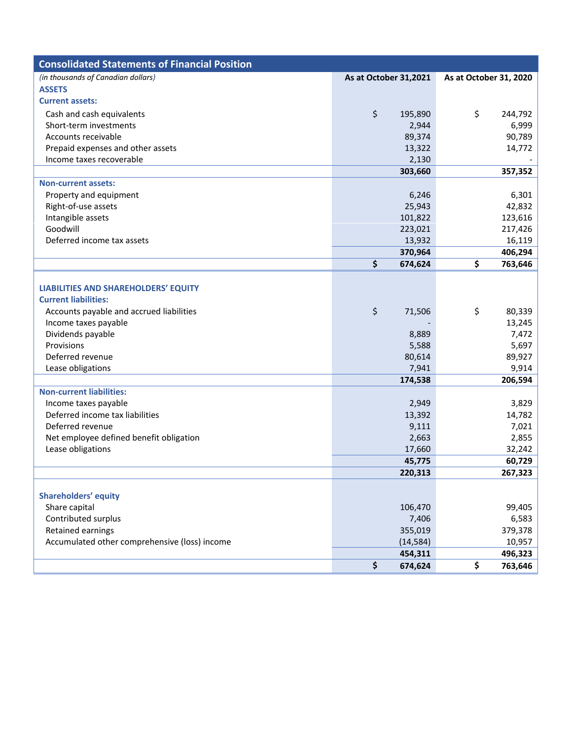| <b>Consolidated Statements of Financial Position</b> |                       |           |                        |         |
|------------------------------------------------------|-----------------------|-----------|------------------------|---------|
| (in thousands of Canadian dollars)                   | As at October 31,2021 |           | As at October 31, 2020 |         |
| <b>ASSETS</b>                                        |                       |           |                        |         |
| <b>Current assets:</b>                               |                       |           |                        |         |
| Cash and cash equivalents                            | \$                    | 195,890   | \$                     | 244,792 |
| Short-term investments                               |                       | 2,944     |                        | 6,999   |
| Accounts receivable                                  |                       | 89,374    |                        | 90,789  |
| Prepaid expenses and other assets                    |                       | 13,322    |                        | 14,772  |
| Income taxes recoverable                             |                       | 2,130     |                        |         |
|                                                      |                       | 303,660   |                        | 357,352 |
| <b>Non-current assets:</b>                           |                       |           |                        |         |
| Property and equipment                               |                       | 6,246     |                        | 6,301   |
| Right-of-use assets                                  |                       | 25,943    |                        | 42,832  |
| Intangible assets                                    |                       | 101,822   |                        | 123,616 |
| Goodwill                                             |                       | 223,021   |                        | 217,426 |
| Deferred income tax assets                           |                       | 13,932    |                        | 16,119  |
|                                                      |                       | 370,964   |                        | 406,294 |
|                                                      | \$                    | 674,624   | \$                     | 763,646 |
|                                                      |                       |           |                        |         |
| <b>LIABILITIES AND SHAREHOLDERS' EQUITY</b>          |                       |           |                        |         |
| <b>Current liabilities:</b>                          |                       |           |                        |         |
| Accounts payable and accrued liabilities             | \$                    | 71,506    | \$                     | 80,339  |
| Income taxes payable                                 |                       |           |                        | 13,245  |
| Dividends payable                                    |                       | 8,889     |                        | 7,472   |
| Provisions                                           |                       | 5,588     |                        | 5,697   |
| Deferred revenue                                     |                       | 80,614    |                        | 89,927  |
| Lease obligations                                    |                       | 7,941     |                        | 9,914   |
|                                                      |                       | 174,538   |                        | 206,594 |
| <b>Non-current liabilities:</b>                      |                       |           |                        |         |
| Income taxes payable                                 |                       | 2,949     |                        | 3,829   |
| Deferred income tax liabilities                      |                       | 13,392    |                        | 14,782  |
| Deferred revenue                                     |                       | 9,111     |                        | 7,021   |
| Net employee defined benefit obligation              |                       | 2,663     |                        | 2,855   |
| Lease obligations                                    |                       | 17,660    |                        | 32,242  |
|                                                      |                       | 45,775    |                        | 60,729  |
|                                                      |                       | 220,313   |                        | 267,323 |
| <b>Shareholders' equity</b>                          |                       |           |                        |         |
| Share capital                                        |                       | 106,470   |                        | 99,405  |
| Contributed surplus                                  |                       | 7,406     |                        | 6,583   |
| Retained earnings                                    |                       | 355,019   |                        | 379,378 |
| Accumulated other comprehensive (loss) income        |                       | (14, 584) |                        | 10,957  |
|                                                      |                       | 454,311   |                        | 496,323 |
|                                                      | \$                    | 674,624   | \$                     | 763,646 |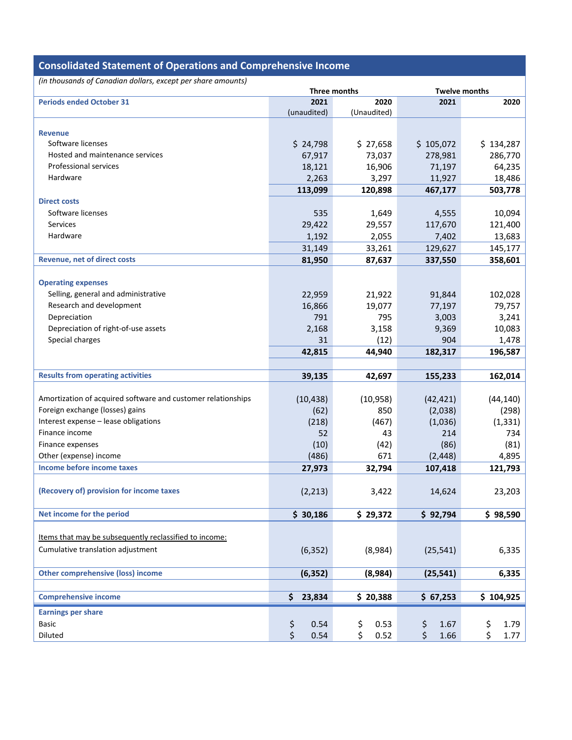| <b>Consolidated Statement of Operations and Comprehensive Income</b> |              |             |            |                      |  |  |  |  |  |  |  |
|----------------------------------------------------------------------|--------------|-------------|------------|----------------------|--|--|--|--|--|--|--|
| (in thousands of Canadian dollars, except per share amounts)         |              |             |            |                      |  |  |  |  |  |  |  |
|                                                                      | Three months |             |            | <b>Twelve months</b> |  |  |  |  |  |  |  |
| <b>Periods ended October 31</b>                                      | 2021         | 2020        | 2021       | 2020                 |  |  |  |  |  |  |  |
|                                                                      | (unaudited)  | (Unaudited) |            |                      |  |  |  |  |  |  |  |
| <b>Revenue</b>                                                       |              |             |            |                      |  |  |  |  |  |  |  |
| Software licenses                                                    | \$24,798     | \$27,658    | \$105,072  | \$134,287            |  |  |  |  |  |  |  |
| Hosted and maintenance services                                      | 67,917       | 73,037      | 278,981    | 286,770              |  |  |  |  |  |  |  |
| <b>Professional services</b>                                         | 18,121       | 16,906      | 71,197     | 64,235               |  |  |  |  |  |  |  |
| Hardware                                                             | 2,263        | 3,297       | 11,927     | 18,486               |  |  |  |  |  |  |  |
|                                                                      | 113,099      | 120,898     | 467,177    | 503,778              |  |  |  |  |  |  |  |
| <b>Direct costs</b>                                                  |              |             |            |                      |  |  |  |  |  |  |  |
| Software licenses                                                    | 535          | 1,649       | 4,555      | 10,094               |  |  |  |  |  |  |  |
| Services                                                             | 29,422       | 29,557      | 117,670    | 121,400              |  |  |  |  |  |  |  |
| Hardware                                                             | 1,192        | 2,055       | 7,402      | 13,683               |  |  |  |  |  |  |  |
|                                                                      | 31,149       | 33,261      | 129,627    | 145,177              |  |  |  |  |  |  |  |
| <b>Revenue, net of direct costs</b>                                  | 81,950       | 87,637      | 337,550    | 358,601              |  |  |  |  |  |  |  |
|                                                                      |              |             |            |                      |  |  |  |  |  |  |  |
| <b>Operating expenses</b>                                            |              |             |            |                      |  |  |  |  |  |  |  |
| Selling, general and administrative                                  | 22,959       | 21,922      | 91,844     | 102,028              |  |  |  |  |  |  |  |
| Research and development                                             | 16,866       | 19,077      | 77,197     | 79,757               |  |  |  |  |  |  |  |
| Depreciation                                                         | 791          | 795         | 3,003      | 3,241                |  |  |  |  |  |  |  |
| Depreciation of right-of-use assets                                  | 2,168        | 3,158       | 9,369      | 10,083               |  |  |  |  |  |  |  |
| Special charges                                                      | 31           | (12)        | 904        | 1,478                |  |  |  |  |  |  |  |
|                                                                      | 42,815       | 44,940      | 182,317    | 196,587              |  |  |  |  |  |  |  |
|                                                                      |              |             |            |                      |  |  |  |  |  |  |  |
| <b>Results from operating activities</b>                             | 39,135       | 42,697      | 155,233    | 162,014              |  |  |  |  |  |  |  |
|                                                                      |              |             |            |                      |  |  |  |  |  |  |  |
| Amortization of acquired software and customer relationships         | (10, 438)    | (10, 958)   | (42, 421)  | (44, 140)            |  |  |  |  |  |  |  |
| Foreign exchange (losses) gains                                      | (62)         | 850         | (2,038)    | (298)                |  |  |  |  |  |  |  |
| Interest expense - lease obligations                                 | (218)        | (467)       | (1,036)    | (1, 331)             |  |  |  |  |  |  |  |
| Finance income                                                       | 52           | 43          | 214        | 734                  |  |  |  |  |  |  |  |
| Finance expenses                                                     | (10)         | (42)        | (86)       | (81)                 |  |  |  |  |  |  |  |
| Other (expense) income                                               | (486)        | 671         | (2, 448)   | 4,895                |  |  |  |  |  |  |  |
| Income before income taxes                                           | 27,973       | 32,794      | 107,418    | 121,793              |  |  |  |  |  |  |  |
|                                                                      |              |             |            |                      |  |  |  |  |  |  |  |
| (Recovery of) provision for income taxes                             | (2, 213)     | 3,422       | 14,624     | 23,203               |  |  |  |  |  |  |  |
|                                                                      |              |             |            |                      |  |  |  |  |  |  |  |
| Net income for the period                                            | \$30,186     | \$29,372    | \$92,794   | \$98,590             |  |  |  |  |  |  |  |
|                                                                      |              |             |            |                      |  |  |  |  |  |  |  |
| Items that may be subsequently reclassified to income:               |              |             |            |                      |  |  |  |  |  |  |  |
| Cumulative translation adjustment                                    | (6, 352)     | (8,984)     | (25, 541)  | 6,335                |  |  |  |  |  |  |  |
|                                                                      |              |             |            |                      |  |  |  |  |  |  |  |
| <b>Other comprehensive (loss) income</b>                             | (6, 352)     | (8,984)     | (25, 541)  | 6,335                |  |  |  |  |  |  |  |
|                                                                      |              |             |            |                      |  |  |  |  |  |  |  |
| <b>Comprehensive income</b>                                          | \$<br>23,834 | \$20,388    | \$67,253   | \$104,925            |  |  |  |  |  |  |  |
|                                                                      |              |             |            |                      |  |  |  |  |  |  |  |
| <b>Earnings per share</b>                                            |              |             |            |                      |  |  |  |  |  |  |  |
| <b>Basic</b>                                                         | \$<br>0.54   | \$<br>0.53  | \$<br>1.67 | \$<br>1.79           |  |  |  |  |  |  |  |
| Diluted                                                              | \$<br>0.54   | \$<br>0.52  | \$<br>1.66 | \$<br>1.77           |  |  |  |  |  |  |  |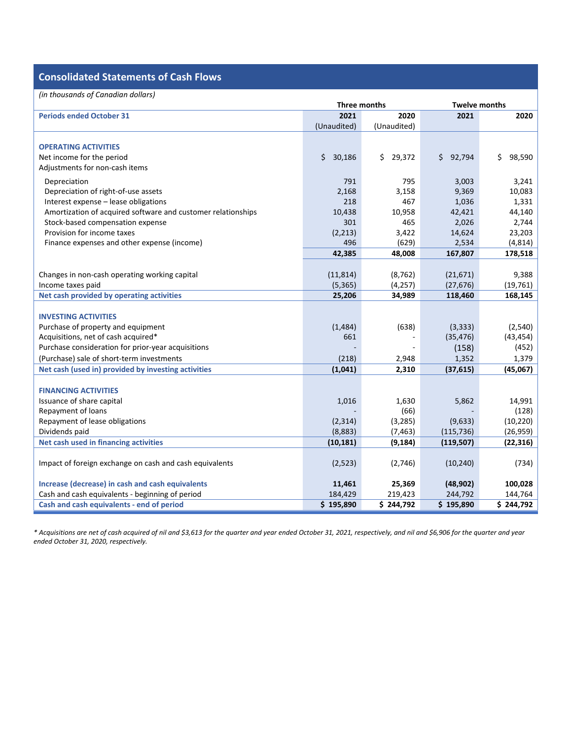## **Consolidated Statements of Cash Flows**

| (in thousands of Canadian dollars)                           |              |              |                      |              |  |  |  |  |  |  |  |
|--------------------------------------------------------------|--------------|--------------|----------------------|--------------|--|--|--|--|--|--|--|
|                                                              | Three months |              | <b>Twelve months</b> |              |  |  |  |  |  |  |  |
| <b>Periods ended October 31</b>                              | 2021         | 2020         | 2021                 | 2020         |  |  |  |  |  |  |  |
|                                                              | (Unaudited)  | (Unaudited)  |                      |              |  |  |  |  |  |  |  |
|                                                              |              |              |                      |              |  |  |  |  |  |  |  |
| <b>OPERATING ACTIVITIES</b>                                  |              |              |                      |              |  |  |  |  |  |  |  |
| Net income for the period                                    | \$<br>30,186 | \$<br>29,372 | 92,794<br>\$.        | \$<br>98,590 |  |  |  |  |  |  |  |
| Adjustments for non-cash items                               |              |              |                      |              |  |  |  |  |  |  |  |
| Depreciation                                                 | 791          | 795          | 3,003                | 3,241        |  |  |  |  |  |  |  |
| Depreciation of right-of-use assets                          | 2,168        | 3,158        | 9,369                | 10,083       |  |  |  |  |  |  |  |
| Interest expense - lease obligations                         | 218          | 467          | 1,036                | 1,331        |  |  |  |  |  |  |  |
| Amortization of acquired software and customer relationships | 10,438       | 10,958       | 42,421               | 44,140       |  |  |  |  |  |  |  |
| Stock-based compensation expense                             | 301          | 465          | 2,026                | 2,744        |  |  |  |  |  |  |  |
| Provision for income taxes                                   | (2,213)      | 3,422        | 14,624               | 23,203       |  |  |  |  |  |  |  |
| Finance expenses and other expense (income)                  | 496          | (629)        | 2,534                | (4, 814)     |  |  |  |  |  |  |  |
|                                                              | 42,385       | 48,008       | 167,807              | 178,518      |  |  |  |  |  |  |  |
|                                                              |              |              |                      |              |  |  |  |  |  |  |  |
| Changes in non-cash operating working capital                | (11, 814)    | (8, 762)     | (21, 671)            | 9,388        |  |  |  |  |  |  |  |
| Income taxes paid                                            | (5,365)      | (4, 257)     | (27, 676)            | (19, 761)    |  |  |  |  |  |  |  |
| Net cash provided by operating activities                    | 25,206       | 34,989       | 118,460              | 168,145      |  |  |  |  |  |  |  |
|                                                              |              |              |                      |              |  |  |  |  |  |  |  |
| <b>INVESTING ACTIVITIES</b>                                  |              |              |                      |              |  |  |  |  |  |  |  |
| Purchase of property and equipment                           | (1,484)      | (638)        | (3, 333)             | (2,540)      |  |  |  |  |  |  |  |
| Acquisitions, net of cash acquired*                          | 661          |              | (35, 476)            | (43, 454)    |  |  |  |  |  |  |  |
| Purchase consideration for prior-year acquisitions           |              |              | (158)                | (452)        |  |  |  |  |  |  |  |
| (Purchase) sale of short-term investments                    | (218)        | 2,948        | 1,352                | 1,379        |  |  |  |  |  |  |  |
| Net cash (used in) provided by investing activities          | (1,041)      | 2,310        | (37, 615)            | (45,067)     |  |  |  |  |  |  |  |
|                                                              |              |              |                      |              |  |  |  |  |  |  |  |
| <b>FINANCING ACTIVITIES</b>                                  |              |              |                      |              |  |  |  |  |  |  |  |
| Issuance of share capital                                    | 1,016        | 1,630        | 5,862                | 14,991       |  |  |  |  |  |  |  |
| Repayment of loans                                           |              | (66)         |                      | (128)        |  |  |  |  |  |  |  |
| Repayment of lease obligations                               | (2, 314)     | (3, 285)     | (9,633)              | (10, 220)    |  |  |  |  |  |  |  |
| Dividends paid                                               | (8,883)      | (7, 463)     | (115, 736)           | (26, 959)    |  |  |  |  |  |  |  |
| Net cash used in financing activities                        | (10, 181)    | (9, 184)     | (119, 507)           | (22, 316)    |  |  |  |  |  |  |  |
|                                                              |              |              |                      |              |  |  |  |  |  |  |  |
| Impact of foreign exchange on cash and cash equivalents      | (2,523)      | (2,746)      | (10, 240)            | (734)        |  |  |  |  |  |  |  |
|                                                              |              |              |                      |              |  |  |  |  |  |  |  |
| Increase (decrease) in cash and cash equivalents             | 11,461       | 25,369       | (48, 902)            | 100,028      |  |  |  |  |  |  |  |
| Cash and cash equivalents - beginning of period              | 184,429      | 219,423      | 244,792              | 144,764      |  |  |  |  |  |  |  |
| Cash and cash equivalents - end of period                    | \$195,890    | \$244,792    | \$195,890            | \$244,792    |  |  |  |  |  |  |  |

*\* Acquisitions are net of cash acquired of nil and \$3,613 for the quarter and year ended October 31, 2021, respectively, and nil and \$6,906 for the quarter and year ended October 31, 2020, respectively.*